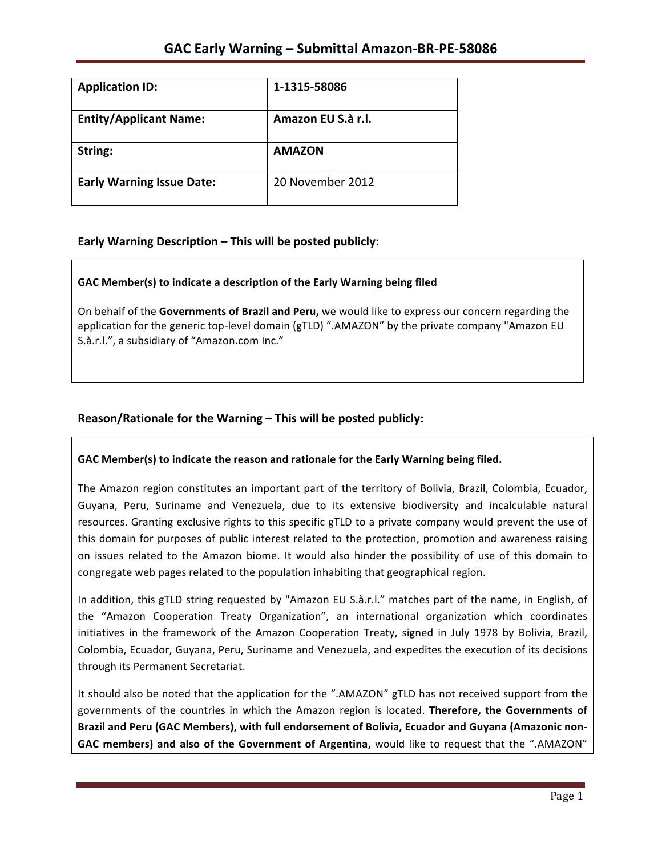| <b>Application ID:</b>           | 1-1315-58086       |
|----------------------------------|--------------------|
| <b>Entity/Applicant Name:</b>    | Amazon EU S.à r.l. |
| String:                          | <b>AMAZON</b>      |
| <b>Early Warning Issue Date:</b> | 20 November 2012   |

### **Early Warning Description – This will be posted publicly:**

### GAC Member(s) to indicate a description of the Early Warning being filed

On behalf of the **Governments of Brazil and Peru,** we would like to express our concern regarding the application for the generic top-level domain (gTLD) ".AMAZON" by the private company "Amazon EU S.à.r.l.", a subsidiary of "Amazon.com Inc."

### **Reason/Rationale for the Warning – This will be posted publicly:**

### GAC Member(s) to indicate the reason and rationale for the Early Warning being filed.

The Amazon region constitutes an important part of the territory of Bolivia, Brazil, Colombia, Ecuador, Guyana, Peru, Suriname and Venezuela, due to its extensive biodiversity and incalculable natural resources. Granting exclusive rights to this specific gTLD to a private company would prevent the use of this domain for purposes of public interest related to the protection, promotion and awareness raising on issues related to the Amazon biome. It would also hinder the possibility of use of this domain to congregate web pages related to the population inhabiting that geographical region.

In addition, this gTLD string requested by "Amazon EU S.à.r.l." matches part of the name, in English, of the "Amazon Cooperation Treaty Organization", an international organization which coordinates initiatives in the framework of the Amazon Cooperation Treaty, signed in July 1978 by Bolivia, Brazil, Colombia, Ecuador, Guyana, Peru, Suriname and Venezuela, and expedites the execution of its decisions through its Permanent Secretariat.

It should also be noted that the application for the ".AMAZON" gTLD has not received support from the governments of the countries in which the Amazon region is located. **Therefore, the Governments of** Brazil and Peru (GAC Members), with full endorsement of Bolivia, Ecuador and Guyana (Amazonic non-GAC members) and also of the Government of Argentina, would like to request that the ".AMAZON"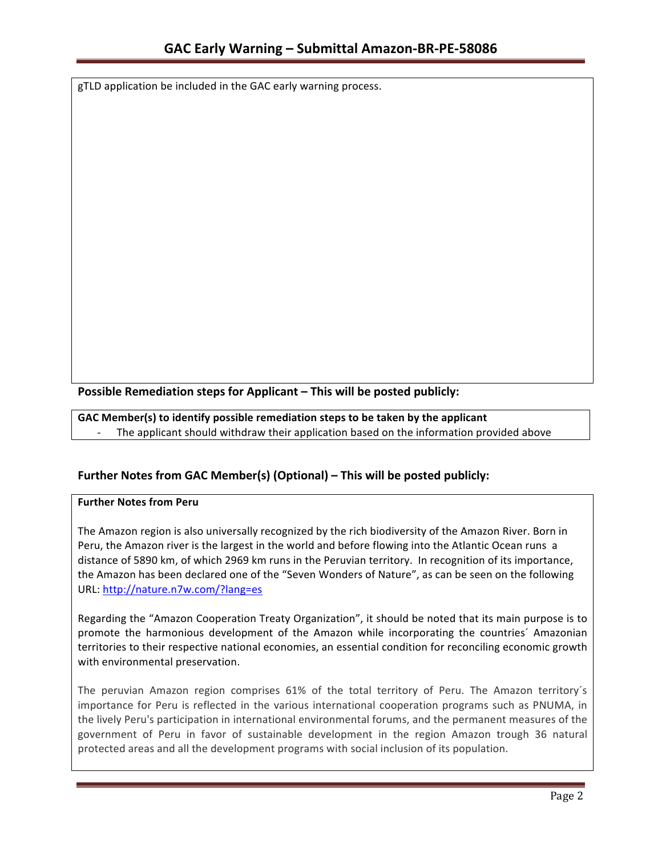gTLD application be included in the GAC early warning process.

**Possible Remediation steps for Applicant – This will be posted publicly:** 

GAC Member(s) to identify possible remediation steps to be taken by the applicant

The applicant should withdraw their application based on the information provided above

## **Further Notes from GAC Member(s) (Optional)** – This will be posted publicly:

### **Further Notes from Peru**

The Amazon region is also universally recognized by the rich biodiversity of the Amazon River. Born in Peru, the Amazon river is the largest in the world and before flowing into the Atlantic Ocean runs a distance of 5890 km, of which 2969 km runs in the Peruvian territory. In recognition of its importance, the Amazon has been declared one of the "Seven Wonders of Nature", as can be seen on the following URL: http://nature.n7w.com/?lang=es

Regarding the "Amazon Cooperation Treaty Organization", it should be noted that its main purpose is to promote the harmonious development of the Amazon while incorporating the countries' Amazonian territories to their respective national economies, an essential condition for reconciling economic growth with environmental preservation.

The peruvian Amazon region comprises 61% of the total territory of Peru. The Amazon territory's importance for Peru is reflected in the various international cooperation programs such as PNUMA, in the lively Peru's participation in international environmental forums, and the permanent measures of the government of Peru in favor of sustainable development in the region Amazon trough 36 natural protected areas and all the development programs with social inclusion of its population.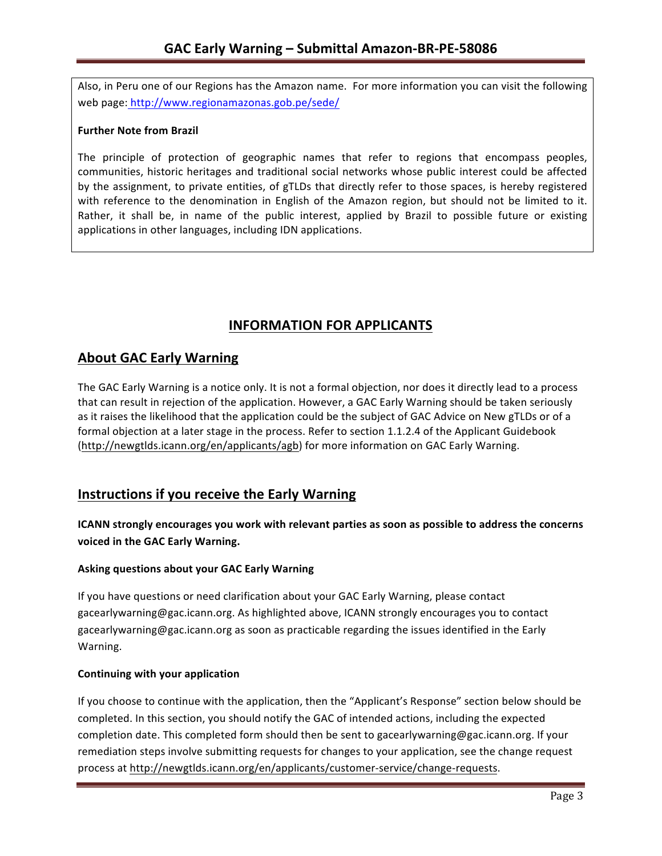Also, in Peru one of our Regions has the Amazon name. For more information you can visit the following web page: http://www.regionamazonas.gob.pe/sede/

### **Further Note from Brazil**

The principle of protection of geographic names that refer to regions that encompass peoples, communities, historic heritages and traditional social networks whose public interest could be affected by the assignment, to private entities, of gTLDs that directly refer to those spaces, is hereby registered with reference to the denomination in English of the Amazon region, but should not be limited to it. Rather, it shall be, in name of the public interest, applied by Brazil to possible future or existing applications in other languages, including IDN applications.

# **INFORMATION FOR APPLICANTS**

## **About GAC Early Warning**

The GAC Early Warning is a notice only. It is not a formal objection, nor does it directly lead to a process that can result in rejection of the application. However, a GAC Early Warning should be taken seriously as it raises the likelihood that the application could be the subject of GAC Advice on New gTLDs or of a formal objection at a later stage in the process. Refer to section 1.1.2.4 of the Applicant Guidebook (http://newgtlds.icann.org/en/applicants/agb) for more information on GAC Early Warning.

# **Instructions if you receive the Early Warning**

**ICANN** strongly encourages you work with relevant parties as soon as possible to address the concerns voiced in the GAC Early Warning.

### **Asking questions about your GAC Early Warning**

If you have questions or need clarification about your GAC Early Warning, please contact gacearlywarning@gac.icann.org. As highlighted above, ICANN strongly encourages you to contact gacearlywarning@gac.icann.org as soon as practicable regarding the issues identified in the Early Warning. 

### **Continuing with your application**

If you choose to continue with the application, then the "Applicant's Response" section below should be completed. In this section, you should notify the GAC of intended actions, including the expected completion date. This completed form should then be sent to gacearlywarning@gac.icann.org. If your remediation steps involve submitting requests for changes to your application, see the change request process at http://newgtlds.icann.org/en/applicants/customer-service/change-requests.